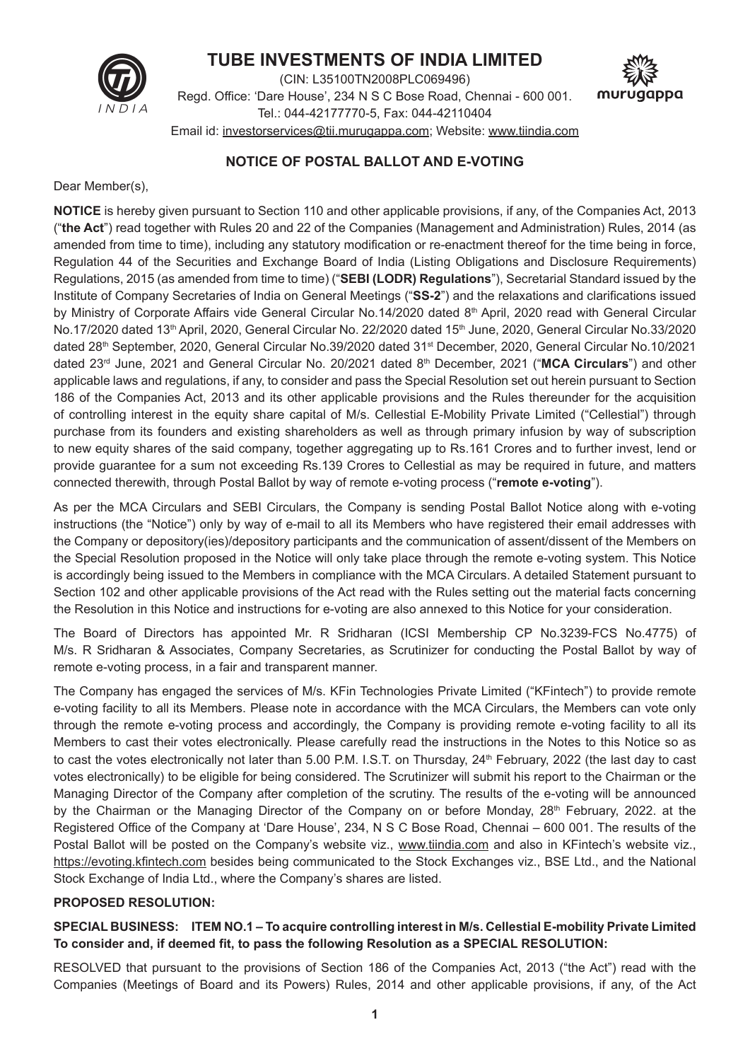

# **TUBE INVESTMENTS OF INDIA LIMITED**

(CIN: L35100TN2008PLC069496) Regd. Office: 'Dare House', 234 N S C Bose Road, Chennai - 600 001. Tel.: 044-42177770-5, Fax: 044-42110404 Email id: investorservices@tii.murugappa.com; Website: www.tiindia.com



## **NOTICE OF POSTAL BALLOT AND E-VOTING**

Dear Member(s),

**NOTICE** is hereby given pursuant to Section 110 and other applicable provisions, if any, of the Companies Act, 2013 ("**the Act**") read together with Rules 20 and 22 of the Companies (Management and Administration) Rules, 2014 (as amended from time to time), including any statutory modification or re-enactment thereof for the time being in force, Regulation 44 of the Securities and Exchange Board of India (Listing Obligations and Disclosure Requirements) Regulations, 2015 (as amended from time to time) ("**SEBI (LODR) Regulations**"), Secretarial Standard issued by the Institute of Company Secretaries of India on General Meetings ("**SS-2**") and the relaxations and clarifications issued by Ministry of Corporate Affairs vide General Circular No.14/2020 dated 8<sup>th</sup> April, 2020 read with General Circular No.17/2020 dated 13th April, 2020, General Circular No. 22/2020 dated 15th June, 2020, General Circular No.33/2020 dated 28th September, 2020, General Circular No.39/2020 dated 31st December, 2020, General Circular No.10/2021 dated 23rd June, 2021 and General Circular No. 20/2021 dated 8th December, 2021 ("**MCA Circulars**") and other applicable laws and regulations, if any, to consider and pass the Special Resolution set out herein pursuant to Section 186 of the Companies Act, 2013 and its other applicable provisions and the Rules thereunder for the acquisition of controlling interest in the equity share capital of M/s. Cellestial E-Mobility Private Limited ("Cellestial") through purchase from its founders and existing shareholders as well as through primary infusion by way of subscription to new equity shares of the said company, together aggregating up to Rs.161 Crores and to further invest, lend or provide guarantee for a sum not exceeding Rs.139 Crores to Cellestial as may be required in future, and matters connected therewith, through Postal Ballot by way of remote e-voting process ("**remote e-voting**").

As per the MCA Circulars and SEBI Circulars, the Company is sending Postal Ballot Notice along with e-voting instructions (the "Notice") only by way of e-mail to all its Members who have registered their email addresses with the Company or depository(ies)/depository participants and the communication of assent/dissent of the Members on the Special Resolution proposed in the Notice will only take place through the remote e-voting system. This Notice is accordingly being issued to the Members in compliance with the MCA Circulars. A detailed Statement pursuant to Section 102 and other applicable provisions of the Act read with the Rules setting out the material facts concerning the Resolution in this Notice and instructions for e-voting are also annexed to this Notice for your consideration.

The Board of Directors has appointed Mr. R Sridharan (ICSI Membership CP No.3239-FCS No.4775) of M/s. R Sridharan & Associates, Company Secretaries, as Scrutinizer for conducting the Postal Ballot by way of remote e-voting process, in a fair and transparent manner.

The Company has engaged the services of M/s. KFin Technologies Private Limited ("KFintech") to provide remote e-voting facility to all its Members. Please note in accordance with the MCA Circulars, the Members can vote only through the remote e-voting process and accordingly, the Company is providing remote e-voting facility to all its Members to cast their votes electronically. Please carefully read the instructions in the Notes to this Notice so as to cast the votes electronically not later than 5.00 P.M. I.S.T. on Thursday, 24<sup>th</sup> February, 2022 (the last day to cast votes electronically) to be eligible for being considered. The Scrutinizer will submit his report to the Chairman or the Managing Director of the Company after completion of the scrutiny. The results of the e-voting will be announced by the Chairman or the Managing Director of the Company on or before Monday, 28<sup>th</sup> February, 2022. at the Registered Office of the Company at 'Dare House', 234, N S C Bose Road, Chennai – 600 001. The results of the Postal Ballot will be posted on the Company's website viz., www.tiindia.com and also in KFintech's website viz., https://evoting.kfintech.com besides being communicated to the Stock Exchanges viz., BSE Ltd., and the National Stock Exchange of India Ltd., where the Company's shares are listed.

## **PROPOSED RESOLUTION:**

## **SPECIAL BUSINESS: ITEM NO.1 – To acquire controlling interest in M/s. Cellestial E-mobility Private Limited To consider and, if deemed fit, to pass the following Resolution as a SPECIAL RESOLUTION:**

RESOLVED that pursuant to the provisions of Section 186 of the Companies Act, 2013 ("the Act") read with the Companies (Meetings of Board and its Powers) Rules, 2014 and other applicable provisions, if any, of the Act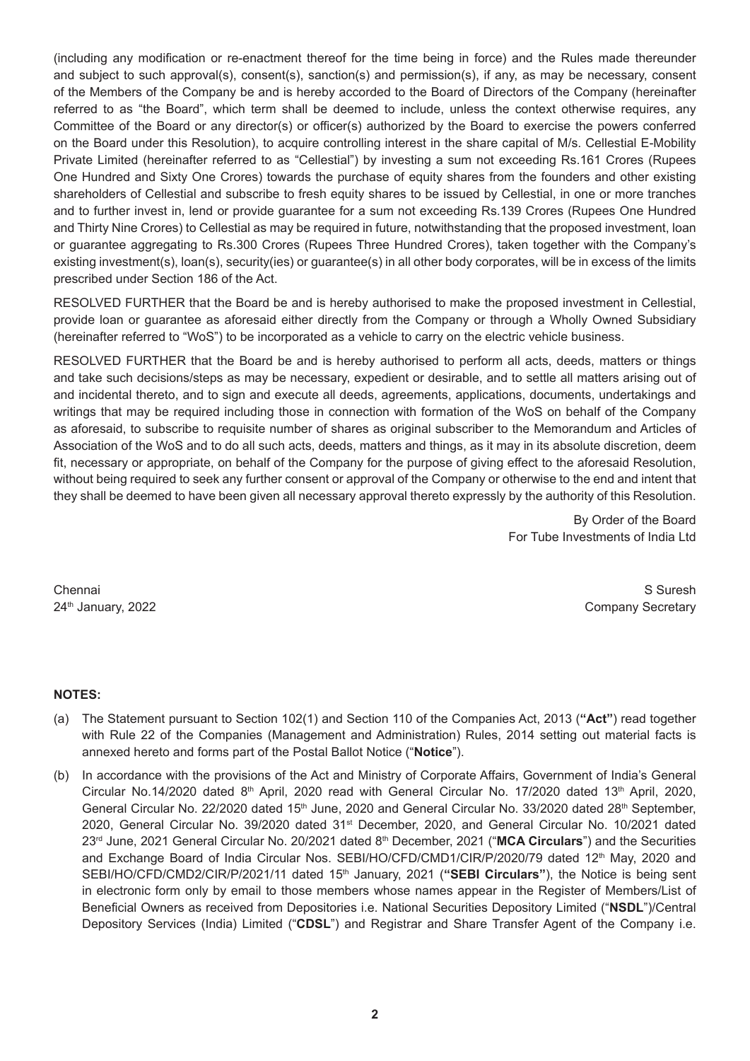(including any modification or re-enactment thereof for the time being in force) and the Rules made thereunder and subject to such approval(s), consent(s), sanction(s) and permission(s), if any, as may be necessary, consent of the Members of the Company be and is hereby accorded to the Board of Directors of the Company (hereinafter referred to as "the Board", which term shall be deemed to include, unless the context otherwise requires, any Committee of the Board or any director(s) or officer(s) authorized by the Board to exercise the powers conferred on the Board under this Resolution), to acquire controlling interest in the share capital of M/s. Cellestial E-Mobility Private Limited (hereinafter referred to as "Cellestial") by investing a sum not exceeding Rs.161 Crores (Rupees One Hundred and Sixty One Crores) towards the purchase of equity shares from the founders and other existing shareholders of Cellestial and subscribe to fresh equity shares to be issued by Cellestial, in one or more tranches and to further invest in, lend or provide guarantee for a sum not exceeding Rs.139 Crores (Rupees One Hundred and Thirty Nine Crores) to Cellestial as may be required in future, notwithstanding that the proposed investment, loan or guarantee aggregating to Rs.300 Crores (Rupees Three Hundred Crores), taken together with the Company's existing investment(s), loan(s), security(ies) or guarantee(s) in all other body corporates, will be in excess of the limits prescribed under Section 186 of the Act.

RESOLVED FURTHER that the Board be and is hereby authorised to make the proposed investment in Cellestial, provide loan or guarantee as aforesaid either directly from the Company or through a Wholly Owned Subsidiary (hereinafter referred to "WoS") to be incorporated as a vehicle to carry on the electric vehicle business.

RESOLVED FURTHER that the Board be and is hereby authorised to perform all acts, deeds, matters or things and take such decisions/steps as may be necessary, expedient or desirable, and to settle all matters arising out of and incidental thereto, and to sign and execute all deeds, agreements, applications, documents, undertakings and writings that may be required including those in connection with formation of the WoS on behalf of the Company as aforesaid, to subscribe to requisite number of shares as original subscriber to the Memorandum and Articles of Association of the WoS and to do all such acts, deeds, matters and things, as it may in its absolute discretion, deem fit, necessary or appropriate, on behalf of the Company for the purpose of giving effect to the aforesaid Resolution, without being required to seek any further consent or approval of the Company or otherwise to the end and intent that they shall be deemed to have been given all necessary approval thereto expressly by the authority of this Resolution.

> By Order of the Board For Tube Investments of India Ltd

Chennai S Suresh 24<sup>th</sup> January, 2022 **Company Secretary** 

#### **NOTES:**

- (a) The Statement pursuant to Section 102(1) and Section 110 of the Companies Act, 2013 (**"Act"**) read together with Rule 22 of the Companies (Management and Administration) Rules, 2014 setting out material facts is annexed hereto and forms part of the Postal Ballot Notice ("**Notice**").
- (b) In accordance with the provisions of the Act and Ministry of Corporate Affairs, Government of India's General Circular No.14/2020 dated  $8<sup>th</sup>$  April, 2020 read with General Circular No. 17/2020 dated 13<sup>th</sup> April, 2020, General Circular No. 22/2020 dated 15<sup>th</sup> June, 2020 and General Circular No. 33/2020 dated 28<sup>th</sup> September, 2020, General Circular No. 39/2020 dated 31<sup>st</sup> December, 2020, and General Circular No. 10/2021 dated 23rd June, 2021 General Circular No. 20/2021 dated 8th December, 2021 ("**MCA Circulars**") and the Securities and Exchange Board of India Circular Nos. SEBI/HO/CFD/CMD1/CIR/P/2020/79 dated 12<sup>th</sup> May, 2020 and SEBI/HO/CFD/CMD2/CIR/P/2021/11 dated 15<sup>th</sup> January, 2021 ("SEBI Circulars"), the Notice is being sent in electronic form only by email to those members whose names appear in the Register of Members/List of Beneficial Owners as received from Depositories i.e. National Securities Depository Limited ("**NSDL**")/Central Depository Services (India) Limited ("**CDSL**") and Registrar and Share Transfer Agent of the Company i.e.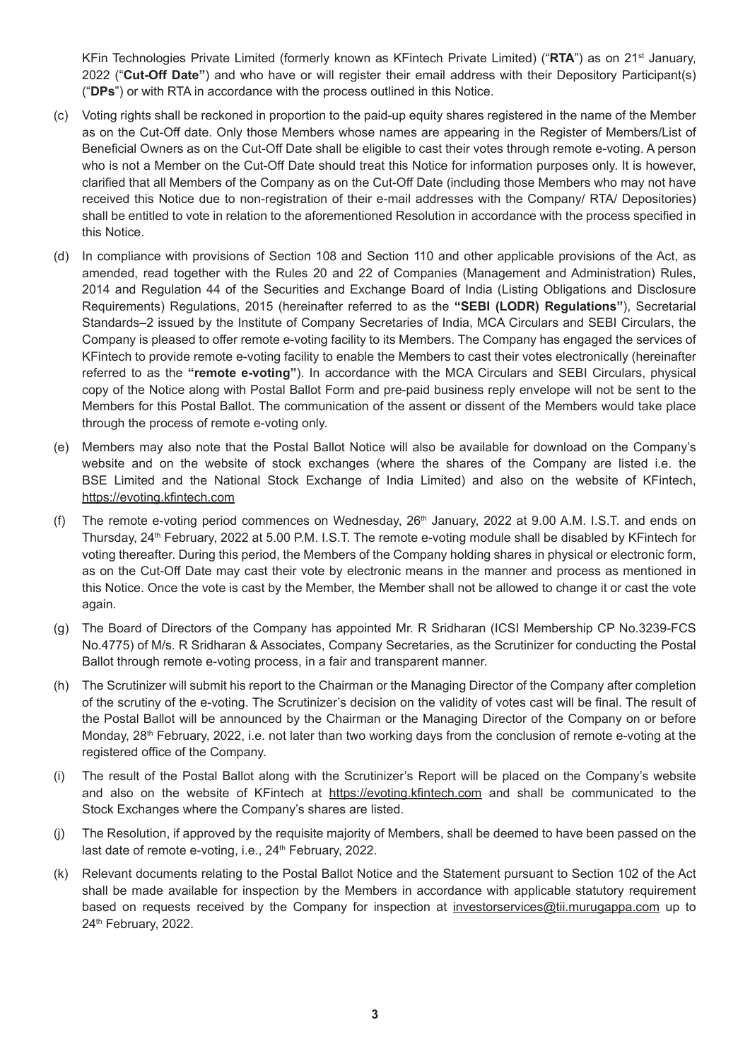KFin Technologies Private Limited (formerly known as KFintech Private Limited) ("**RTA**") as on 21st January, 2022 ("**Cut-Off Date"**) and who have or will register their email address with their Depository Participant(s) ("**DPs**") or with RTA in accordance with the process outlined in this Notice.

- (c) Voting rights shall be reckoned in proportion to the paid-up equity shares registered in the name of the Member as on the Cut-Off date. Only those Members whose names are appearing in the Register of Members/List of Beneficial Owners as on the Cut-Off Date shall be eligible to cast their votes through remote e-voting. A person who is not a Member on the Cut-Off Date should treat this Notice for information purposes only. It is however, clarified that all Members of the Company as on the Cut-Off Date (including those Members who may not have received this Notice due to non-registration of their e-mail addresses with the Company/ RTA/ Depositories) shall be entitled to vote in relation to the aforementioned Resolution in accordance with the process specified in this Notice.
- (d) In compliance with provisions of Section 108 and Section 110 and other applicable provisions of the Act, as amended, read together with the Rules 20 and 22 of Companies (Management and Administration) Rules, 2014 and Regulation 44 of the Securities and Exchange Board of India (Listing Obligations and Disclosure Requirements) Regulations, 2015 (hereinafter referred to as the **"SEBI (LODR) Regulations"**), Secretarial Standards–2 issued by the Institute of Company Secretaries of India, MCA Circulars and SEBI Circulars, the Company is pleased to offer remote e-voting facility to its Members. The Company has engaged the services of KFintech to provide remote e-voting facility to enable the Members to cast their votes electronically (hereinafter referred to as the **"remote e-voting"**). In accordance with the MCA Circulars and SEBI Circulars, physical copy of the Notice along with Postal Ballot Form and pre-paid business reply envelope will not be sent to the Members for this Postal Ballot. The communication of the assent or dissent of the Members would take place through the process of remote e-voting only.
- (e) Members may also note that the Postal Ballot Notice will also be available for download on the Company's website and on the website of stock exchanges (where the shares of the Company are listed i.e. the BSE Limited and the National Stock Exchange of India Limited) and also on the website of KFintech, https://evoting.kfintech.com
- (f) The remote e-voting period commences on Wednesday,  $26<sup>th</sup>$  January, 2022 at 9.00 A.M. I.S.T. and ends on Thursday, 24th February, 2022 at 5.00 P.M. I.S.T. The remote e-voting module shall be disabled by KFintech for voting thereafter. During this period, the Members of the Company holding shares in physical or electronic form, as on the Cut-Off Date may cast their vote by electronic means in the manner and process as mentioned in this Notice. Once the vote is cast by the Member, the Member shall not be allowed to change it or cast the vote again.
- (g) The Board of Directors of the Company has appointed Mr. R Sridharan (ICSI Membership CP No.3239-FCS No.4775) of M/s. R Sridharan & Associates, Company Secretaries, as the Scrutinizer for conducting the Postal Ballot through remote e-voting process, in a fair and transparent manner.
- (h) The Scrutinizer will submit his report to the Chairman or the Managing Director of the Company after completion of the scrutiny of the e-voting. The Scrutinizer's decision on the validity of votes cast will be final. The result of the Postal Ballot will be announced by the Chairman or the Managing Director of the Company on or before Monday, 28<sup>th</sup> February, 2022, i.e. not later than two working days from the conclusion of remote e-voting at the registered office of the Company.
- (i) The result of the Postal Ballot along with the Scrutinizer's Report will be placed on the Company's website and also on the website of KFintech at https://evoting.kfintech.com and shall be communicated to the Stock Exchanges where the Company's shares are listed.
- (j) The Resolution, if approved by the requisite majority of Members, shall be deemed to have been passed on the last date of remote e-voting, i.e., 24<sup>th</sup> February, 2022.
- (k) Relevant documents relating to the Postal Ballot Notice and the Statement pursuant to Section 102 of the Act shall be made available for inspection by the Members in accordance with applicable statutory requirement based on requests received by the Company for inspection at investorservices@tii.murugappa.com up to 24<sup>th</sup> February, 2022.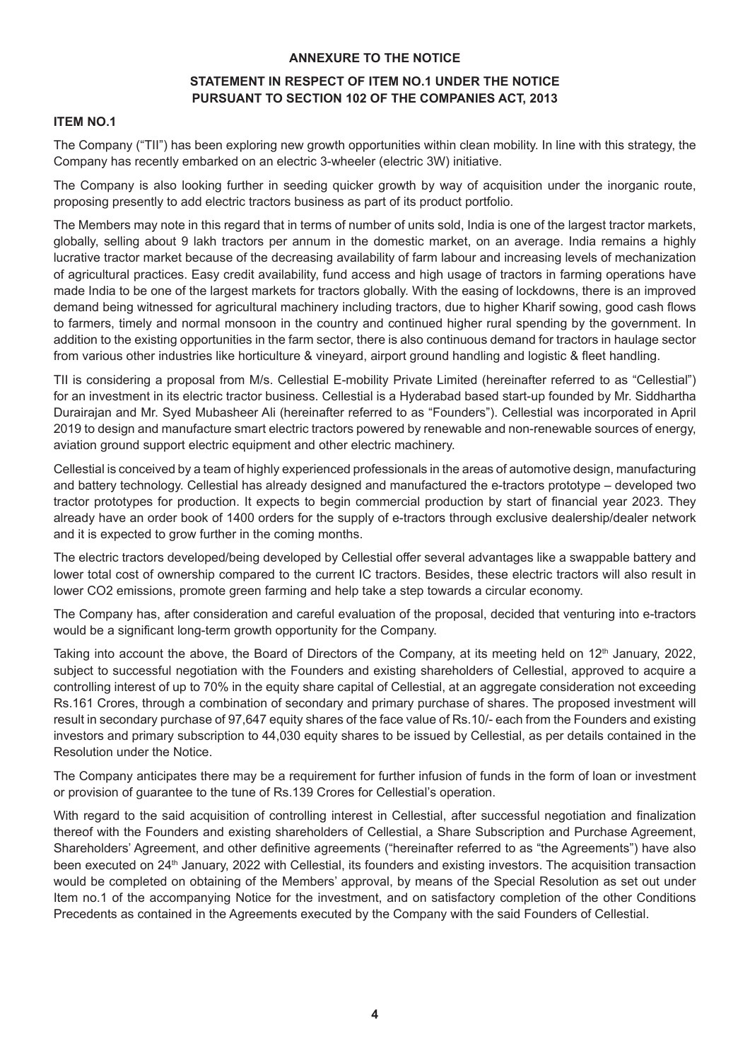#### **ANNEXURE TO THE NOTICE**

## **STATEMENT IN RESPECT OF ITEM NO.1 UNDER THE NOTICE PURSUANT TO SECTION 102 OF THE COMPANIES ACT, 2013**

#### **ITEM NO.1**

The Company ("TII") has been exploring new growth opportunities within clean mobility. In line with this strategy, the Company has recently embarked on an electric 3-wheeler (electric 3W) initiative.

The Company is also looking further in seeding quicker growth by way of acquisition under the inorganic route, proposing presently to add electric tractors business as part of its product portfolio.

The Members may note in this regard that in terms of number of units sold, India is one of the largest tractor markets, globally, selling about 9 lakh tractors per annum in the domestic market, on an average. India remains a highly lucrative tractor market because of the decreasing availability of farm labour and increasing levels of mechanization of agricultural practices. Easy credit availability, fund access and high usage of tractors in farming operations have made India to be one of the largest markets for tractors globally. With the easing of lockdowns, there is an improved demand being witnessed for agricultural machinery including tractors, due to higher Kharif sowing, good cash flows to farmers, timely and normal monsoon in the country and continued higher rural spending by the government. In addition to the existing opportunities in the farm sector, there is also continuous demand for tractors in haulage sector from various other industries like horticulture & vineyard, airport ground handling and logistic & fleet handling.

TII is considering a proposal from M/s. Cellestial E-mobility Private Limited (hereinafter referred to as "Cellestial") for an investment in its electric tractor business. Cellestial is a Hyderabad based start-up founded by Mr. Siddhartha Durairajan and Mr. Syed Mubasheer Ali (hereinafter referred to as "Founders"). Cellestial was incorporated in April 2019 to design and manufacture smart electric tractors powered by renewable and non-renewable sources of energy, aviation ground support electric equipment and other electric machinery.

Cellestial is conceived by a team of highly experienced professionals in the areas of automotive design, manufacturing and battery technology. Cellestial has already designed and manufactured the e-tractors prototype – developed two tractor prototypes for production. It expects to begin commercial production by start of financial year 2023. They already have an order book of 1400 orders for the supply of e-tractors through exclusive dealership/dealer network and it is expected to grow further in the coming months.

The electric tractors developed/being developed by Cellestial offer several advantages like a swappable battery and lower total cost of ownership compared to the current IC tractors. Besides, these electric tractors will also result in lower CO2 emissions, promote green farming and help take a step towards a circular economy.

The Company has, after consideration and careful evaluation of the proposal, decided that venturing into e-tractors would be a significant long-term growth opportunity for the Company.

Taking into account the above, the Board of Directors of the Company, at its meeting held on  $12<sup>th</sup>$  January, 2022, subject to successful negotiation with the Founders and existing shareholders of Cellestial, approved to acquire a controlling interest of up to 70% in the equity share capital of Cellestial, at an aggregate consideration not exceeding Rs.161 Crores, through a combination of secondary and primary purchase of shares. The proposed investment will result in secondary purchase of 97,647 equity shares of the face value of Rs.10/- each from the Founders and existing investors and primary subscription to 44,030 equity shares to be issued by Cellestial, as per details contained in the Resolution under the Notice.

The Company anticipates there may be a requirement for further infusion of funds in the form of loan or investment or provision of guarantee to the tune of Rs.139 Crores for Cellestial's operation.

With regard to the said acquisition of controlling interest in Cellestial, after successful negotiation and finalization thereof with the Founders and existing shareholders of Cellestial, a Share Subscription and Purchase Agreement, Shareholders' Agreement, and other definitive agreements ("hereinafter referred to as "the Agreements") have also been executed on 24<sup>th</sup> January, 2022 with Cellestial, its founders and existing investors. The acquisition transaction would be completed on obtaining of the Members' approval, by means of the Special Resolution as set out under Item no.1 of the accompanying Notice for the investment, and on satisfactory completion of the other Conditions Precedents as contained in the Agreements executed by the Company with the said Founders of Cellestial.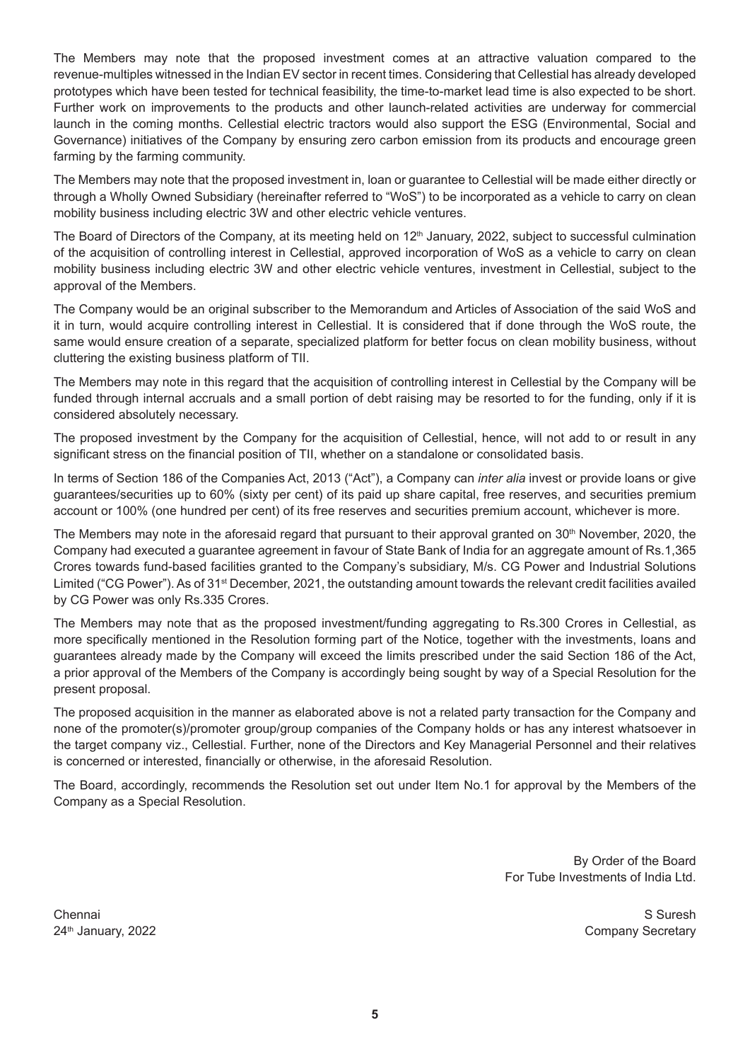The Members may note that the proposed investment comes at an attractive valuation compared to the revenue-multiples witnessed in the Indian EV sector in recent times. Considering that Cellestial has already developed prototypes which have been tested for technical feasibility, the time-to-market lead time is also expected to be short. Further work on improvements to the products and other launch-related activities are underway for commercial launch in the coming months. Cellestial electric tractors would also support the ESG (Environmental, Social and Governance) initiatives of the Company by ensuring zero carbon emission from its products and encourage green farming by the farming community.

The Members may note that the proposed investment in, loan or guarantee to Cellestial will be made either directly or through a Wholly Owned Subsidiary (hereinafter referred to "WoS") to be incorporated as a vehicle to carry on clean mobility business including electric 3W and other electric vehicle ventures.

The Board of Directors of the Company, at its meeting held on 12<sup>th</sup> January, 2022, subject to successful culmination of the acquisition of controlling interest in Cellestial, approved incorporation of WoS as a vehicle to carry on clean mobility business including electric 3W and other electric vehicle ventures, investment in Cellestial, subject to the approval of the Members.

The Company would be an original subscriber to the Memorandum and Articles of Association of the said WoS and it in turn, would acquire controlling interest in Cellestial. It is considered that if done through the WoS route, the same would ensure creation of a separate, specialized platform for better focus on clean mobility business, without cluttering the existing business platform of TII.

The Members may note in this regard that the acquisition of controlling interest in Cellestial by the Company will be funded through internal accruals and a small portion of debt raising may be resorted to for the funding, only if it is considered absolutely necessary.

The proposed investment by the Company for the acquisition of Cellestial, hence, will not add to or result in any significant stress on the financial position of TII, whether on a standalone or consolidated basis.

In terms of Section 186 of the Companies Act, 2013 ("Act"), a Company can *inter alia* invest or provide loans or give guarantees/securities up to 60% (sixty per cent) of its paid up share capital, free reserves, and securities premium account or 100% (one hundred per cent) of its free reserves and securities premium account, whichever is more.

The Members may note in the aforesaid regard that pursuant to their approval granted on  $30<sup>th</sup>$  November, 2020, the Company had executed a guarantee agreement in favour of State Bank of India for an aggregate amount of Rs.1,365 Crores towards fund-based facilities granted to the Company's subsidiary, M/s. CG Power and Industrial Solutions Limited ("CG Power"). As of 31<sup>st</sup> December, 2021, the outstanding amount towards the relevant credit facilities availed by CG Power was only Rs.335 Crores.

The Members may note that as the proposed investment/funding aggregating to Rs.300 Crores in Cellestial, as more specifically mentioned in the Resolution forming part of the Notice, together with the investments, loans and guarantees already made by the Company will exceed the limits prescribed under the said Section 186 of the Act, a prior approval of the Members of the Company is accordingly being sought by way of a Special Resolution for the present proposal.

The proposed acquisition in the manner as elaborated above is not a related party transaction for the Company and none of the promoter(s)/promoter group/group companies of the Company holds or has any interest whatsoever in the target company viz., Cellestial. Further, none of the Directors and Key Managerial Personnel and their relatives is concerned or interested, financially or otherwise, in the aforesaid Resolution.

The Board, accordingly, recommends the Resolution set out under Item No.1 for approval by the Members of the Company as a Special Resolution.

> By Order of the Board For Tube Investments of India Ltd.

Chennai S Suresh 24th January, 2022 Company Secretary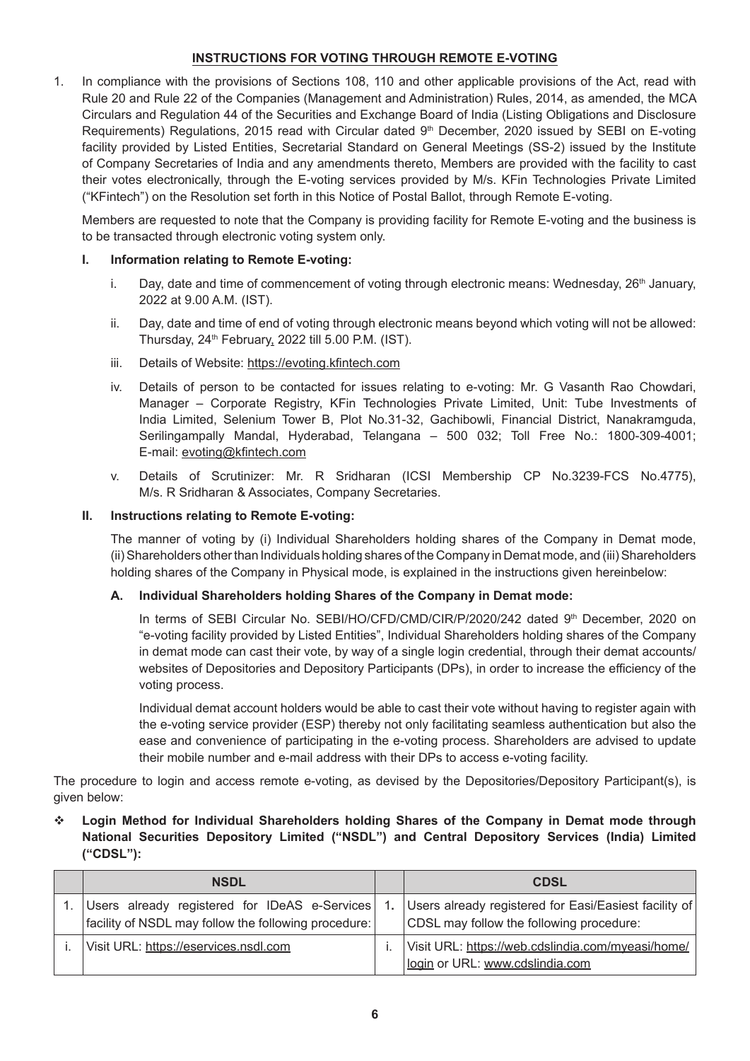## **INSTRUCTIONS FOR VOTING THROUGH REMOTE E-VOTING**

1. In compliance with the provisions of Sections 108, 110 and other applicable provisions of the Act, read with Rule 20 and Rule 22 of the Companies (Management and Administration) Rules, 2014, as amended, the MCA Circulars and Regulation 44 of the Securities and Exchange Board of India (Listing Obligations and Disclosure Requirements) Regulations, 2015 read with Circular dated 9<sup>th</sup> December, 2020 issued by SEBI on E-voting facility provided by Listed Entities, Secretarial Standard on General Meetings (SS-2) issued by the Institute of Company Secretaries of India and any amendments thereto, Members are provided with the facility to cast their votes electronically, through the E-voting services provided by M/s. KFin Technologies Private Limited ("KFintech") on the Resolution set forth in this Notice of Postal Ballot, through Remote E-voting.

 Members are requested to note that the Company is providing facility for Remote E-voting and the business is to be transacted through electronic voting system only.

#### **I. Information relating to Remote E-voting:**

- i. Day, date and time of commencement of voting through electronic means: Wednesday,  $26<sup>th</sup>$  January, 2022 at 9.00 A.M. (IST).
- ii. Day, date and time of end of voting through electronic means beyond which voting will not be allowed: Thursday, 24<sup>th</sup> February, 2022 till 5.00 P.M. (IST).
- iii. Details of Website: https://evoting.kfintech.com
- iv. Details of person to be contacted for issues relating to e-voting: Mr. G Vasanth Rao Chowdari, Manager – Corporate Registry, KFin Technologies Private Limited, Unit: Tube Investments of India Limited, Selenium Tower B, Plot No.31-32, Gachibowli, Financial District, Nanakramguda, Serilingampally Mandal, Hyderabad, Telangana – 500 032; Toll Free No.: 1800-309-4001; E-mail: evoting@kfintech.com
- v. Details of Scrutinizer: Mr. R Sridharan (ICSI Membership CP No.3239-FCS No.4775), M/s. R Sridharan & Associates, Company Secretaries.

#### **II. Instructions relating to Remote E-voting:**

 The manner of voting by (i) Individual Shareholders holding shares of the Company in Demat mode, (ii) Shareholders other than Individuals holding shares of the Company in Demat mode, and (iii) Shareholders holding shares of the Company in Physical mode, is explained in the instructions given hereinbelow:

#### **A. Individual Shareholders holding Shares of the Company in Demat mode:**

In terms of SEBI Circular No. SEBI/HO/CFD/CMD/CIR/P/2020/242 dated 9th December, 2020 on "e-voting facility provided by Listed Entities", Individual Shareholders holding shares of the Company in demat mode can cast their vote, by way of a single login credential, through their demat accounts/ websites of Depositories and Depository Participants (DPs), in order to increase the efficiency of the voting process.

 Individual demat account holders would be able to cast their vote without having to register again with the e-voting service provider (ESP) thereby not only facilitating seamless authentication but also the ease and convenience of participating in the e-voting process. Shareholders are advised to update their mobile number and e-mail address with their DPs to access e-voting facility.

The procedure to login and access remote e-voting, as devised by the Depositories/Depository Participant(s), is given below:

v **Login Method for Individual Shareholders holding Shares of the Company in Demat mode through National Securities Depository Limited ("NSDL") and Central Depository Services (India) Limited ("CDSL"):**

| <b>NSDL</b>                                                                                           | <b>CDSL</b>                                                                                            |
|-------------------------------------------------------------------------------------------------------|--------------------------------------------------------------------------------------------------------|
| Users already registered for IDeAS e-Services<br>facility of NSDL may follow the following procedure: | 1.   Users already registered for Easi/Easiest facility of<br>CDSL may follow the following procedure: |
| Visit URL: https://eservices.nsdl.com                                                                 | Visit URL: https://web.cdslindia.com/myeasi/home/<br>login or URL: www.cdslindia.com                   |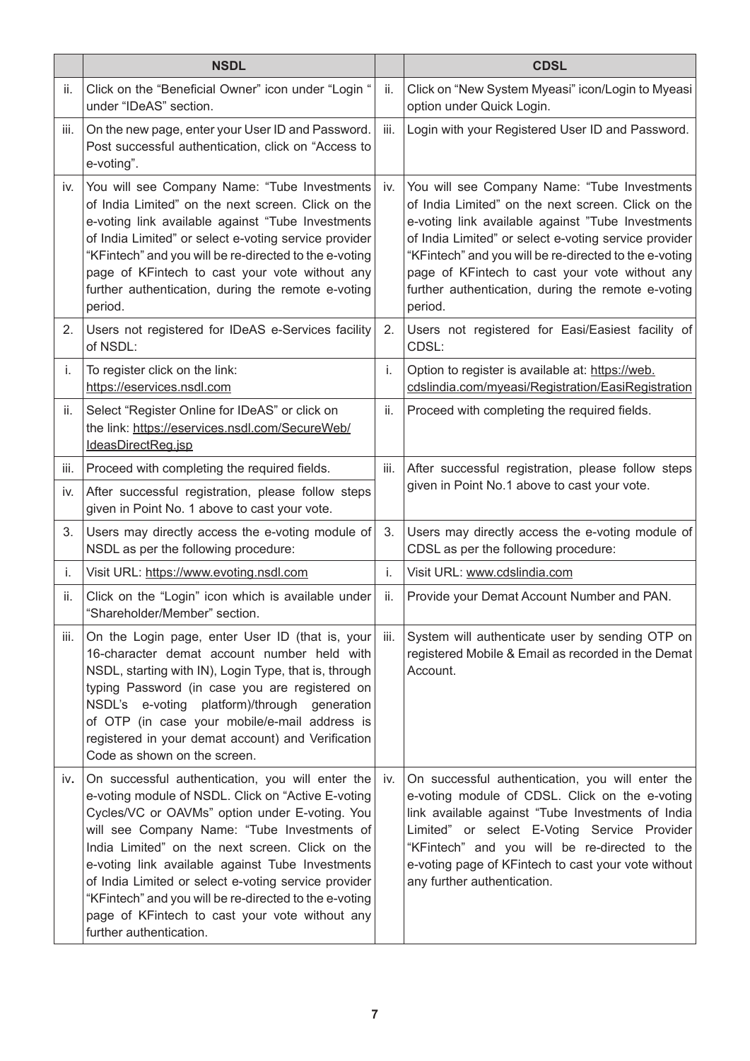|      | <b>NSDL</b>                                                                                                                                                                                                                                                                                                                                                                                                                                                                                                   |      | <b>CDSL</b>                                                                                                                                                                                                                                                                                                                                                                                   |
|------|---------------------------------------------------------------------------------------------------------------------------------------------------------------------------------------------------------------------------------------------------------------------------------------------------------------------------------------------------------------------------------------------------------------------------------------------------------------------------------------------------------------|------|-----------------------------------------------------------------------------------------------------------------------------------------------------------------------------------------------------------------------------------------------------------------------------------------------------------------------------------------------------------------------------------------------|
| ii.  | Click on the "Beneficial Owner" icon under "Login "<br>under "IDeAS" section.                                                                                                                                                                                                                                                                                                                                                                                                                                 | ii.  | Click on "New System Myeasi" icon/Login to Myeasi<br>option under Quick Login.                                                                                                                                                                                                                                                                                                                |
| iii. | On the new page, enter your User ID and Password.<br>Post successful authentication, click on "Access to<br>e-voting".                                                                                                                                                                                                                                                                                                                                                                                        | iii. | Login with your Registered User ID and Password.                                                                                                                                                                                                                                                                                                                                              |
| iv.  | You will see Company Name: "Tube Investments<br>of India Limited" on the next screen. Click on the<br>e-voting link available against "Tube Investments<br>of India Limited" or select e-voting service provider<br>"KFintech" and you will be re-directed to the e-voting<br>page of KFintech to cast your vote without any<br>further authentication, during the remote e-voting<br>period.                                                                                                                 | iv.  | You will see Company Name: "Tube Investments<br>of India Limited" on the next screen. Click on the<br>e-voting link available against "Tube Investments<br>of India Limited" or select e-voting service provider<br>"KFintech" and you will be re-directed to the e-voting<br>page of KFintech to cast your vote without any<br>further authentication, during the remote e-voting<br>period. |
| 2.   | Users not registered for IDeAS e-Services facility<br>of NSDL:                                                                                                                                                                                                                                                                                                                                                                                                                                                | 2.   | Users not registered for Easi/Easiest facility of<br>CDSL:                                                                                                                                                                                                                                                                                                                                    |
| i.   | To register click on the link:<br>https://eservices.nsdl.com                                                                                                                                                                                                                                                                                                                                                                                                                                                  | i.   | Option to register is available at: https://web.<br>cdslindia.com/myeasi/Registration/EasiRegistration                                                                                                                                                                                                                                                                                        |
| ii.  | Select "Register Online for IDeAS" or click on<br>the link: https://eservices.nsdl.com/SecureWeb/<br>IdeasDirectReg.jsp                                                                                                                                                                                                                                                                                                                                                                                       | ii.  | Proceed with completing the required fields.                                                                                                                                                                                                                                                                                                                                                  |
| iii. | Proceed with completing the required fields.                                                                                                                                                                                                                                                                                                                                                                                                                                                                  | iii. | After successful registration, please follow steps                                                                                                                                                                                                                                                                                                                                            |
| iv.  | After successful registration, please follow steps<br>given in Point No. 1 above to cast your vote.                                                                                                                                                                                                                                                                                                                                                                                                           |      | given in Point No.1 above to cast your vote.                                                                                                                                                                                                                                                                                                                                                  |
| 3.   | Users may directly access the e-voting module of<br>NSDL as per the following procedure:                                                                                                                                                                                                                                                                                                                                                                                                                      | 3.   | Users may directly access the e-voting module of<br>CDSL as per the following procedure:                                                                                                                                                                                                                                                                                                      |
| i.   | Visit URL: https://www.evoting.nsdl.com                                                                                                                                                                                                                                                                                                                                                                                                                                                                       | i.   | Visit URL: www.cdslindia.com                                                                                                                                                                                                                                                                                                                                                                  |
| ii.  | Click on the "Login" icon which is available under<br>"Shareholder/Member" section.                                                                                                                                                                                                                                                                                                                                                                                                                           | ii.  | Provide your Demat Account Number and PAN.                                                                                                                                                                                                                                                                                                                                                    |
| iii. | On the Login page, enter User ID (that is, your iii.<br>16-character demat account number held with<br>NSDL, starting with IN), Login Type, that is, through<br>typing Password (in case you are registered on<br>NSDL's e-voting platform)/through generation<br>of OTP (in case your mobile/e-mail address is<br>registered in your demat account) and Verification<br>Code as shown on the screen.                                                                                                         |      | System will authenticate user by sending OTP on<br>registered Mobile & Email as recorded in the Demat<br>Account.                                                                                                                                                                                                                                                                             |
| IV.  | On successful authentication, you will enter the<br>e-voting module of NSDL. Click on "Active E-voting<br>Cycles/VC or OAVMs" option under E-voting. You<br>will see Company Name: "Tube Investments of<br>India Limited" on the next screen. Click on the<br>e-voting link available against Tube Investments<br>of India Limited or select e-voting service provider<br>"KFintech" and you will be re-directed to the e-voting<br>page of KFintech to cast your vote without any<br>further authentication. | İV.  | On successful authentication, you will enter the<br>e-voting module of CDSL. Click on the e-voting<br>link available against "Tube Investments of India<br>Limited" or select E-Voting Service Provider<br>"KFintech" and you will be re-directed to the<br>e-voting page of KFintech to cast your vote without<br>any further authentication.                                                |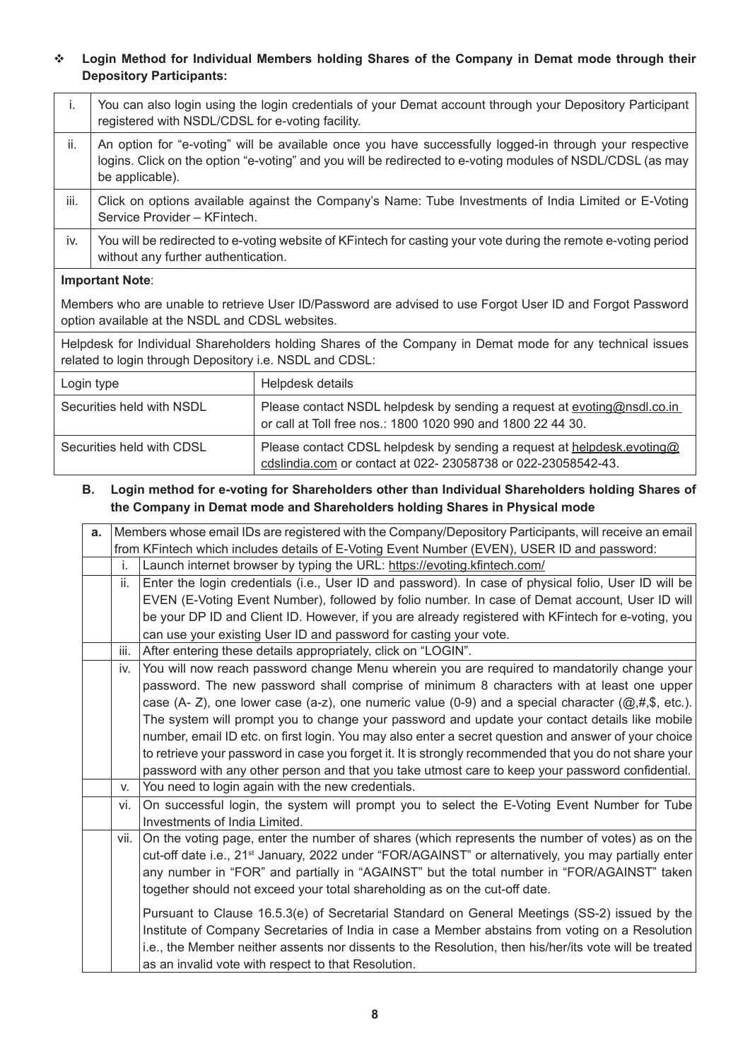# v **Login Method for Individual Members holding Shares of the Company in Demat mode through their Depository Participants:**

| i.                                                                                                                                                                   | You can also login using the login credentials of your Demat account through your Depository Participant<br>registered with NSDL/CDSL for e-voting facility.                                                                             |                                                                                                                                        |  |  |
|----------------------------------------------------------------------------------------------------------------------------------------------------------------------|------------------------------------------------------------------------------------------------------------------------------------------------------------------------------------------------------------------------------------------|----------------------------------------------------------------------------------------------------------------------------------------|--|--|
| ii.                                                                                                                                                                  | An option for "e-voting" will be available once you have successfully logged-in through your respective<br>logins. Click on the option "e-voting" and you will be redirected to e-voting modules of NSDL/CDSL (as may<br>be applicable). |                                                                                                                                        |  |  |
| iii.                                                                                                                                                                 | Click on options available against the Company's Name: Tube Investments of India Limited or E-Voting<br>Service Provider - KFintech.                                                                                                     |                                                                                                                                        |  |  |
| iv.                                                                                                                                                                  | You will be redirected to e-voting website of KFintech for casting your vote during the remote e-voting period<br>without any further authentication.                                                                                    |                                                                                                                                        |  |  |
| <b>Important Note:</b>                                                                                                                                               |                                                                                                                                                                                                                                          |                                                                                                                                        |  |  |
| Members who are unable to retrieve User ID/Password are advised to use Forgot User ID and Forgot Password<br>option available at the NSDL and CDSL websites.         |                                                                                                                                                                                                                                          |                                                                                                                                        |  |  |
| Helpdesk for Individual Shareholders holding Shares of the Company in Demat mode for any technical issues<br>related to login through Depository i.e. NSDL and CDSL: |                                                                                                                                                                                                                                          |                                                                                                                                        |  |  |
| Login type                                                                                                                                                           |                                                                                                                                                                                                                                          | Helpdesk details                                                                                                                       |  |  |
| Securities held with NSDL                                                                                                                                            |                                                                                                                                                                                                                                          | Please contact NSDL helpdesk by sending a request at evoting@nsdl.co.in<br>or call at Toll free nos.: 1800 1020 990 and 1800 22 44 30. |  |  |
| Securities held with CDSL                                                                                                                                            |                                                                                                                                                                                                                                          | Please contact CDSL helpdesk by sending a request at helpdesk.evoting@<br>cdslindia.com or contact at 022-23058738 or 022-23058542-43. |  |  |

## **B. Login method for e-voting for Shareholders other than Individual Shareholders holding Shares of the Company in Demat mode and Shareholders holding Shares in Physical mode**

| a. | Members whose email IDs are registered with the Company/Depository Participants, will receive an email |                                                                                                                 |  |  |
|----|--------------------------------------------------------------------------------------------------------|-----------------------------------------------------------------------------------------------------------------|--|--|
|    |                                                                                                        | from KFintech which includes details of E-Voting Event Number (EVEN), USER ID and password:                     |  |  |
|    | i.                                                                                                     | Launch internet browser by typing the URL: https://evoting.kfintech.com/                                        |  |  |
|    | ii.                                                                                                    | Enter the login credentials (i.e., User ID and password). In case of physical folio, User ID will be            |  |  |
|    |                                                                                                        | EVEN (E-Voting Event Number), followed by folio number. In case of Demat account, User ID will                  |  |  |
|    |                                                                                                        | be your DP ID and Client ID. However, if you are already registered with KFintech for e-voting, you             |  |  |
|    |                                                                                                        | can use your existing User ID and password for casting your vote.                                               |  |  |
|    | iii.                                                                                                   | After entering these details appropriately, click on "LOGIN".                                                   |  |  |
|    | iv.                                                                                                    | You will now reach password change Menu wherein you are required to mandatorily change your                     |  |  |
|    |                                                                                                        | password. The new password shall comprise of minimum 8 characters with at least one upper                       |  |  |
|    |                                                                                                        | case (A- Z), one lower case (a-z), one numeric value (0-9) and a special character ( $@, #,$ \$, etc.).         |  |  |
|    |                                                                                                        | The system will prompt you to change your password and update your contact details like mobile                  |  |  |
|    |                                                                                                        | number, email ID etc. on first login. You may also enter a secret question and answer of your choice            |  |  |
|    |                                                                                                        | to retrieve your password in case you forget it. It is strongly recommended that you do not share your          |  |  |
|    |                                                                                                        | password with any other person and that you take utmost care to keep your password confidential.                |  |  |
|    | V.                                                                                                     | You need to login again with the new credentials.                                                               |  |  |
|    | vi.                                                                                                    | On successful login, the system will prompt you to select the E-Voting Event Number for Tube                    |  |  |
|    |                                                                                                        | Investments of India Limited.                                                                                   |  |  |
|    | vii.                                                                                                   | On the voting page, enter the number of shares (which represents the number of votes) as on the                 |  |  |
|    |                                                                                                        | cut-off date i.e., 21 <sup>st</sup> January, 2022 under "FOR/AGAINST" or alternatively, you may partially enter |  |  |
|    |                                                                                                        | any number in "FOR" and partially in "AGAINST" but the total number in "FOR/AGAINST" taken                      |  |  |
|    |                                                                                                        | together should not exceed your total shareholding as on the cut-off date.                                      |  |  |
|    |                                                                                                        | Pursuant to Clause 16.5.3(e) of Secretarial Standard on General Meetings (SS-2) issued by the                   |  |  |
|    |                                                                                                        | Institute of Company Secretaries of India in case a Member abstains from voting on a Resolution                 |  |  |
|    |                                                                                                        | i.e., the Member neither assents nor dissents to the Resolution, then his/her/its vote will be treated          |  |  |
|    |                                                                                                        | as an invalid vote with respect to that Resolution.                                                             |  |  |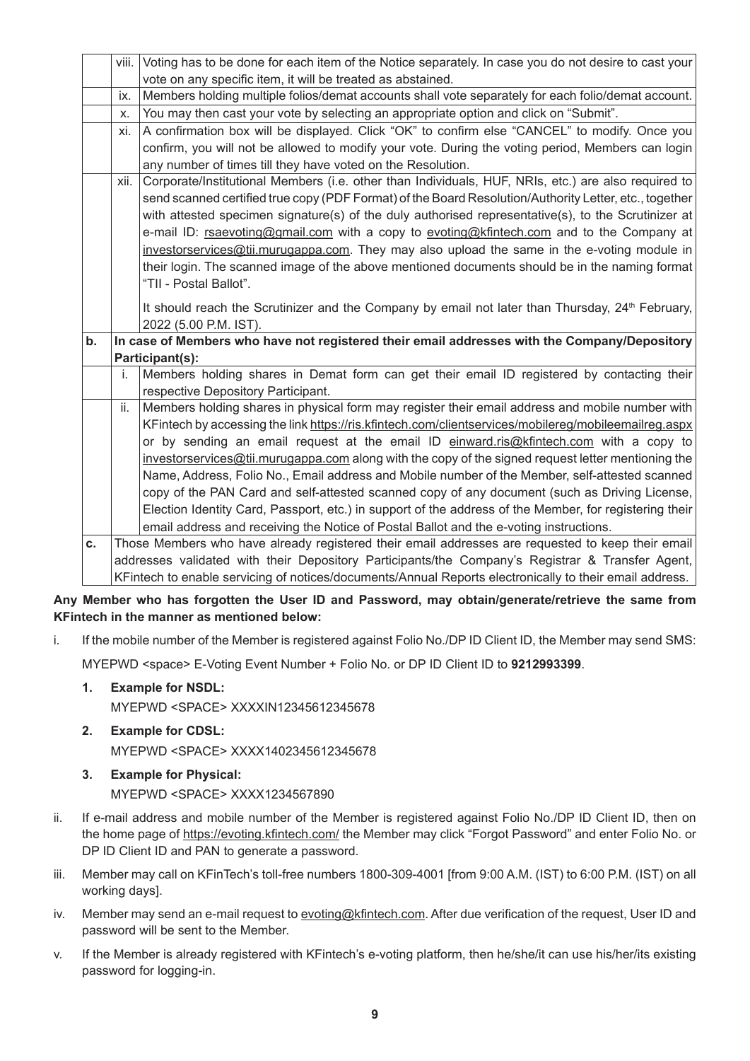|    | viii.                                                                                                   | Voting has to be done for each item of the Notice separately. In case you do not desire to cast your         |
|----|---------------------------------------------------------------------------------------------------------|--------------------------------------------------------------------------------------------------------------|
|    |                                                                                                         | vote on any specific item, it will be treated as abstained.                                                  |
|    | ix.                                                                                                     | Members holding multiple folios/demat accounts shall vote separately for each folio/demat account.           |
|    | х.                                                                                                      | You may then cast your vote by selecting an appropriate option and click on "Submit".                        |
|    | xi.                                                                                                     | A confirmation box will be displayed. Click "OK" to confirm else "CANCEL" to modify. Once you                |
|    |                                                                                                         | confirm, you will not be allowed to modify your vote. During the voting period, Members can login            |
|    |                                                                                                         | any number of times till they have voted on the Resolution.                                                  |
|    | xii.                                                                                                    | Corporate/Institutional Members (i.e. other than Individuals, HUF, NRIs, etc.) are also required to          |
|    |                                                                                                         | send scanned certified true copy (PDF Format) of the Board Resolution/Authority Letter, etc., together       |
|    |                                                                                                         | with attested specimen signature(s) of the duly authorised representative(s), to the Scrutinizer at          |
|    |                                                                                                         | e-mail ID: rsaevoting@gmail.com with a copy to evoting@kfintech.com and to the Company at                    |
|    |                                                                                                         | investorservices@tii.murugappa.com. They may also upload the same in the e-voting module in                  |
|    |                                                                                                         | their login. The scanned image of the above mentioned documents should be in the naming format               |
|    |                                                                                                         | "TII - Postal Ballot".                                                                                       |
|    |                                                                                                         | It should reach the Scrutinizer and the Company by email not later than Thursday, 24 <sup>th</sup> February, |
|    |                                                                                                         | 2022 (5.00 P.M. IST).                                                                                        |
| b. |                                                                                                         | In case of Members who have not registered their email addresses with the Company/Depository                 |
|    |                                                                                                         | Participant(s):                                                                                              |
|    | i.                                                                                                      | Members holding shares in Demat form can get their email ID registered by contacting their                   |
|    |                                                                                                         | respective Depository Participant.                                                                           |
|    | ii.                                                                                                     | Members holding shares in physical form may register their email address and mobile number with              |
|    |                                                                                                         | KFintech by accessing the link https://ris.kfintech.com/clientservices/mobilereg/mobileemailreg.aspx         |
|    |                                                                                                         | or by sending an email request at the email ID einward.ris@kfintech.com with a copy to                       |
|    |                                                                                                         | investorservices@tii.murugappa.com along with the copy of the signed request letter mentioning the           |
|    |                                                                                                         | Name, Address, Folio No., Email address and Mobile number of the Member, self-attested scanned               |
|    |                                                                                                         | copy of the PAN Card and self-attested scanned copy of any document (such as Driving License,                |
|    |                                                                                                         | Election Identity Card, Passport, etc.) in support of the address of the Member, for registering their       |
|    |                                                                                                         | email address and receiving the Notice of Postal Ballot and the e-voting instructions.                       |
| C. |                                                                                                         | Those Members who have already registered their email addresses are requested to keep their email            |
|    | addresses validated with their Depository Participants/the Company's Registrar & Transfer Agent,        |                                                                                                              |
|    | KFintech to enable servicing of notices/documents/Annual Reports electronically to their email address. |                                                                                                              |

## **Any Member who has forgotten the User ID and Password, may obtain/generate/retrieve the same from KFintech in the manner as mentioned below:**

i. If the mobile number of the Member is registered against Folio No./DP ID Client ID, the Member may send SMS:

MYEPWD <space> E-Voting Event Number + Folio No. or DP ID Client ID to **9212993399**.

**1. Example for NSDL:**

MYEPWD <SPACE> XXXXIN12345612345678

**2. Example for CDSL:**

MYEPWD <SPACE> XXXX1402345612345678

**3. Example for Physical:**

MYEPWD <SPACE> XXXX1234567890

- ii. If e-mail address and mobile number of the Member is registered against Folio No./DP ID Client ID, then on the home page of https://evoting.kfintech.com/ the Member may click "Forgot Password" and enter Folio No. or DP ID Client ID and PAN to generate a password.
- iii. Member may call on KFinTech's toll-free numbers 1800-309-4001 [from 9:00 A.M. (IST) to 6:00 P.M. (IST) on all working days].
- iv. Member may send an e-mail request to evoting@kfintech.com. After due verification of the request, User ID and password will be sent to the Member.
- v. If the Member is already registered with KFintech's e-voting platform, then he/she/it can use his/her/its existing password for logging-in.